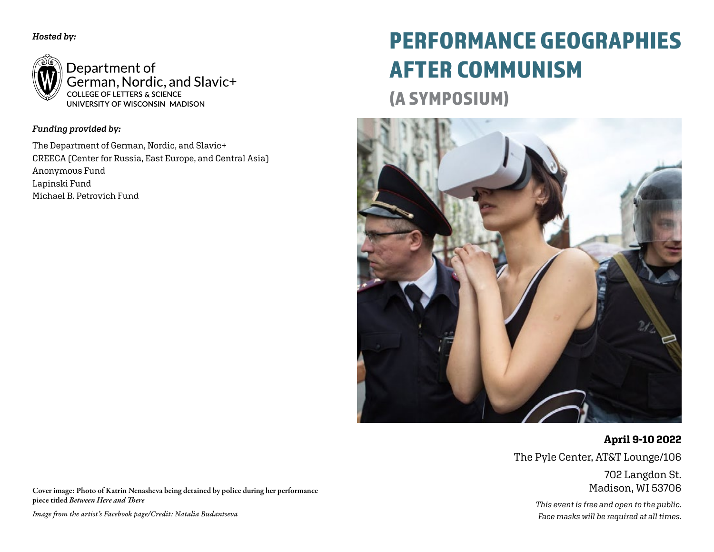*Hosted by:*



Department of German, Nordic, and Slavic+ COLLEGE OF LETTERS & SCIENCE UNIVERSITY OF WISCONSIN-MADISON

## *Funding provided by:*

The Department of German, Nordic, and Slavic+ CREECA (Center for Russia, East Europe, and Central Asia) Anonymous Fund Lapinski Fund Michael B. Petrovich Fund

# PERFORMANCE GEOGRAPHIES AFTER COMMUNISM

(A SYMPOSIUM)



**April 9-10 2022** The Pyle Center, AT&T Lounge/106

> 702 Langdon St. Madison, WI 53706

*This event is free and open to the public. Face masks will be required at all times.*

Cover image: Photo of Katrin Nenasheva being detained by police during her performance piece titled *Between Here and There*

*Image from the artist's Facebook page/Credit: Natalia Budantseva*